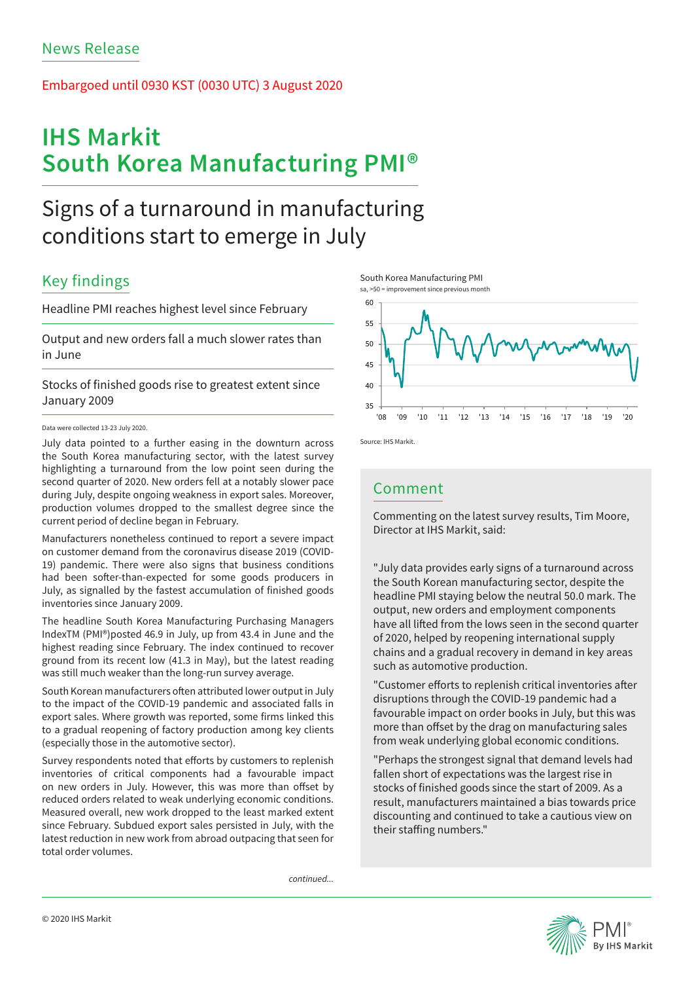### Embargoed until 0930 KST (0030 UTC) 3 August 2020

# **IHS Markit South Korea Manufacturing PMI®**

## Signs of a turnaround in manufacturing conditions start to emerge in July

## Key findings

Headline PMI reaches highest level since February

Output and new orders fall a much slower rates than in June

Stocks of finished goods rise to greatest extent since January 2009

### Data were collected 13-23 July 2020.

July data pointed to a further easing in the downturn across the South Korea manufacturing sector, with the latest survey highlighting a turnaround from the low point seen during the second quarter of 2020. New orders fell at a notably slower pace during July, despite ongoing weakness in export sales. Moreover, production volumes dropped to the smallest degree since the current period of decline began in February.

Manufacturers nonetheless continued to report a severe impact on customer demand from the coronavirus disease 2019 (COVID-19) pandemic. There were also signs that business conditions had been softer-than-expected for some goods producers in July, as signalled by the fastest accumulation of finished goods inventories since January 2009.

The headline South Korea Manufacturing Purchasing Managers IndexTM (PMI®)posted 46.9 in July, up from 43.4 in June and the highest reading since February. The index continued to recover ground from its recent low (41.3 in May), but the latest reading was still much weaker than the long-run survey average.

South Korean manufacturers often attributed lower output in July to the impact of the COVID-19 pandemic and associated falls in export sales. Where growth was reported, some firms linked this to a gradual reopening of factory production among key clients (especially those in the automotive sector).

Survey respondents noted that efforts by customers to replenish inventories of critical components had a favourable impact on new orders in July. However, this was more than offset by reduced orders related to weak underlying economic conditions. Measured overall, new work dropped to the least marked extent since February. Subdued export sales persisted in July, with the latest reduction in new work from abroad outpacing that seen for total order volumes.

*continued...*





Source: IHS Markit.

### Comment

Commenting on the latest survey results, Tim Moore, Director at IHS Markit, said:

"July data provides early signs of a turnaround across the South Korean manufacturing sector, despite the headline PMI staying below the neutral 50.0 mark. The output, new orders and employment components have all lifted from the lows seen in the second quarter of 2020, helped by reopening international supply chains and a gradual recovery in demand in key areas such as automotive production.

"Customer efforts to replenish critical inventories after disruptions through the COVID-19 pandemic had a favourable impact on order books in July, but this was more than offset by the drag on manufacturing sales from weak underlying global economic conditions.

"Perhaps the strongest signal that demand levels had fallen short of expectations was the largest rise in stocks of finished goods since the start of 2009. As a result, manufacturers maintained a bias towards price discounting and continued to take a cautious view on their staffing numbers."